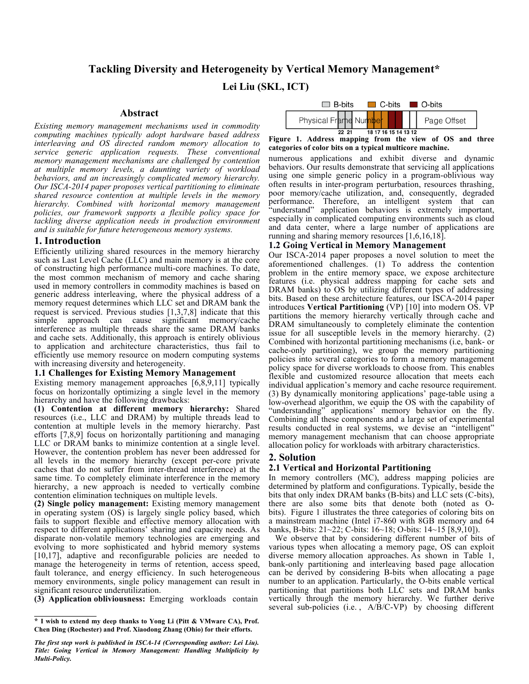# **Tackling Diversity and Heterogeneity by Vertical Memory Management\***

**Lei Liu (SKL, ICT)**

# **Abstract**

*Existing memory management mechanisms used in commodity computing machines typically adopt hardware based address interleaving and OS directed random memory allocation to service generic application requests. These conventional memory management mechanisms are challenged by contention at multiple memory levels, <sup>a</sup> daunting variety of workload behaviors, and an increasingly complicated memory hierarchy. Our ISCA-2014 paper proposes vertical partitioning to eliminate shared resource contention at multiple levels in the memory hierarchy. Combined with horizontal memory management policies, our framework supports a flexible policy space for tackling diverse application needs in production environment and is suitable for future heterogeneous memory systems.*

# **1. Introduction**

Efficiently utilizing shared resources in the memory hierarchy such as Last Level Cache (LLC) and main memory is at the core of constructing high performance multi-core machines. To date, the most common mechanism of memory and cache sharing used in memory controllers in commodity machines is based on generic address interleaving, where the physical address of a memory request determines which LLC set and DRAM bank the request is serviced. Previous studies [1,3,7,8] indicate that this simple approach can cause significant memory/cache interference as multiple threads share the same DRAM banks and cache sets. Additionally, this approach is entirely oblivious to application and architecture characteristics, thus fail to efficiently use memory resource on modern computing systems with increasing diversity and heterogeneity.

# **1.1 Challenges for Existing Memory Management**

Existing memory management approaches [6,8,9,11] typically focus on horizontally optimizing a single level in the memory hierarchy and have the following drawbacks:

**(1) Contention at different memory hierarchy:** Shared resources (i.e., LLC and DRAM) by multiple threads lead to contention at multiple levels in the memory hierarchy. Past efforts [7,8,9] focus on horizontally partitioning and managing LLC or DRAM banks to minimize contention at a single level. However, the contention problem has never been addressed for all levels in the memory hierarchy (except per-core private caches that do not suffer from inter-thread interference) at the same time. To completely eliminate interference in the memory hierarchy, a new approach is needed to vertically combine contention elimination techniques on multiple levels.

**(2) Single policy management:** Existing memory management in operating system (OS) is largely single policy based, which fails to support flexible and effective memory allocation with respect to different applications' sharing and capacity needs. As disparate non-volatile memory technologies are emerging and evolving to more sophisticated and hybrid memory systems [10,17], adaptive and reconfigurable policies are needed to manage the heterogeneity in terms of retention, access speed, fault tolerance, and energy efficiency. In such heterogeneous memory environments, single policy management can result in significant resource underutilization.

**(3) Application obliviousness:** Emerging workloads contain



**Figure 1. Address mapping from the view of OS and three categories of color bits on a typical multicore machine.**

numerous applications and exhibit diverse and dynamic behaviors. Our results demonstrate that servicing all applications using one simple generic policy in a program-oblivious way often results in inter-program perturbation, resources thrashing, poor memory/cache utilization, and, consequently, degraded performance. Therefore, an intelligent system that can 'understand'' application behaviors is extremely important, especially in complicated computing environments such as cloud and data center, where a large number of applications are running and sharing memory resources [1,6,16,18].

# **1.2 Going Vertical in Memory Management**

Our ISCA-2014 paper proposes a novel solution to meet the aforementioned challenges. (1) To address the contention problem in the entire memory space, we expose architecture features (i.e. physical address mapping for cache sets and DRAM banks) to OS by utilizing different types of addressing bits. Based on these architecture features, our ISCA-2014 paper introduces **Vertical Partitioning** (VP) [10] into modern OS. VP partitions the memory hierarchy vertically through cache and DRAM simultaneously to completely eliminate the contention issue for all susceptible levels in the memory hierarchy. (2) Combined with horizontal partitioning mechanisms (i.e, bank- or cache-only partitioning), we group the memory partitioning policies into several categories to form a memory management policy space for diverse workloads to choose from. This enables flexible and customized resource allocation that meets each individual application's memory and cache resource requirement. (3) By dynamically monitoring applications' page-table using a low-overhead algorithm, we equip the OS with the capability of "understanding" applications' memory behavior on the fly. Combining all these components and a large set of experimental results conducted in real systems, we devise an "intelligent" memory management mechanism that can choose appropriate allocation policy for workloads with arbitrary characteristics.

# **2. Solution**

# **2.1 Vertical and Horizontal Partitioning**

In memory controllers (MC), address mapping policies are determined by platform and configurations. Typically, beside the bits that only index DRAM banks (B-bits) and LLC sets (C-bits), there are also some bits that denote both (noted as Obits). Figure 1 illustrates the three categories of coloring bits on a mainstream machine (Intel i7-860 with 8GB memory and 64 banks, B-bits: 21~22; C-bits: 16~18; O-bits: 14~15 [8,9,10]).

 We observe that by considering different number of bits of various types when allocating a memory page, OS can exploit diverse memory allocation approaches. As shown in Table 1, bank-only partitioning and interleaving based page allocation can be derived by considering B-bits when allocating a page number to an application. Particularly, the O-bits enable vertical partitioning that partitions both LLC sets and DRAM banks vertically through the memory hierarchy. We further derive several sub-policies (i.e., A/B/C-VP) by choosing different

**<sup>\*</sup> I wish to extend my deep thanks to Yong Li (Pitt & VMware CA), Prof. Chen Ding (Rochester) and Prof. Xiaodong Zhang (Ohio) for their efforts.**

*The first step work is published in ISCA-14 (Corresponding author: Lei Liu). Title: Going Vertical in Memory Management: Handling Multiplicity by Multi-Policy.*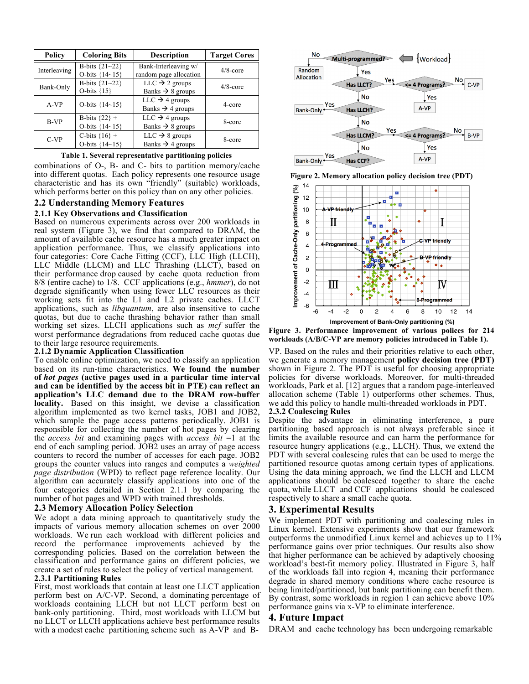| Policy       | <b>Coloring Bits</b>                   | <b>Description</b>                                         | <b>Target Cores</b> |
|--------------|----------------------------------------|------------------------------------------------------------|---------------------|
| Interleaving | B-bits ${21 - 22}$<br>O-bits ${14~15}$ | Bank-Interleaving w/<br>random page allocation             | $4/8$ -core         |
| Bank-Only    | B-bits ${21 - 22}$<br>O-bits ${15}$    | $LLC \rightarrow 2$ groups<br>Banks $\rightarrow$ 8 groups | $4/8$ -core         |
| A-VP         | O-bits ${14~15}$                       | $LLC \rightarrow 4$ groups<br>Banks $\rightarrow$ 4 groups | 4-core              |
| B-VP         | B-bits $\{22\}$ +<br>O-bits ${14~15}$  | $LLC \rightarrow 4$ groups<br>Banks $\rightarrow$ 8 groups | 8-core              |
| $C-VP$       | C-bits ${16} +$<br>O-bits {14~15}      | $LLC \rightarrow 8$ groups<br>Banks $\rightarrow$ 4 groups | 8-core              |

#### **Table 1. Several representative partitioning policies**

combinations of O-, B- and C- bits to partition memory/cache into different quotas. Each policy represents one resource usage characteristic and has its own "friendly" (suitable) workloads, which performs better on this policy than on any other policies.

# **2.2 Understanding Memory Features**

#### **2.1.1 Key Observations and Classification**

Based on numerous experiments across over 200 workloads in real system (Figure 3), we find that compared to DRAM, the amount of available cache resource has a much greater impact on application performance. Thus, we classify applications into four categories: Core Cache Fitting (CCF), LLC High (LLCH), LLC Middle (LLCM) and LLC Thrashing (LLCT), based on their performance drop caused by cache quota reduction from 8/8 (entire cache) to 1/8. CCF applications (e.g., *hmmer*), do not degrade significantly when using fewer LLC resources as their working sets fit into the L1 and L2 private caches. LLCT applications, such as *libquantum*, are also insensitive to cache quotas, but due to cache thrashing behavior rather than small working set sizes. LLCH applications such as *mcf* suffer the worst performance degradations from reduced cache quotas due to their large resource requirements.

#### **2.1.2 Dynamic Application Classification**

To enable online optimization, we need to classify an application based on its run-time characteristics. **We found the number of** *hot pages* **(active pages used in a particular time interval and can be identified by the access bit in PTE) can reflect an application's LLC demand due to the DRAM row-buffer locality.** Based on this insight, we devise a classification algorithm implemented as two kernel tasks, JOB1 and JOB2, which sample the page access patterns periodically. JOB1 is responsible for collecting the number of hot pages by clearing the *access\_bit* and examining pages with *access\_bit* =1 at the end of each sampling period. JOB2 uses an array of page access counters to record the number of accesses for each page. JOB2 groups the counter values into ranges and computes a *weighted page distribution* (WPD) to reflect page reference locality. Our algorithm can accurately classify applications into one of the four categories detailed in Section 2.1.1 by comparing the number of hot pages and WPD with trained thresholds.

## **2.3 Memory Allocation Policy Selection**

We adopt a data mining approach to quantitatively study the impacts of various memory allocation schemes on over 2000 workloads. We run each workload with different policies and record the performance improvements achieved by the corresponding policies. Based on the correlation between the classification and performance gains on different policies, we create a set of rules to select the policy of vertical management.

#### **2.3.1 Partitioning Rules**

First, most workloads that contain at least one LLCT application perform best on A/C-VP. Second, a dominating percentage of workloads containing LLCH but not LLCT perform best on bank-only partitioning. Third, most workloads with LLCM but no LLCT or LLCH applications achieve best performance results with a modest cache partitioning scheme such as A-VP and B-



**Figure 2. Memory allocation policy decision tree (PDT)**



**Figure 3. Performance improvement of various polices for 214 workloads (A/B/C-VP are memory policies introduced in Table 1).**

VP. Based on the rules and their priorities relative to each other, we generate a memory management **policy decision tree (PDT)** shown in Figure 2. The PDT is useful for choosing appropriate policies for diverse workloads. Moreover, for multi-threaded workloads, Park et al. [12] argues that a random page-interleaved allocation scheme (Table 1) outperforms other schemes. Thus, we add this policy to handle multi-threaded workloads in PDT.

# **2.3.2 Coalescing Rules**

Despite the advantage in eliminating interference, a pure partitioning based approach is not always preferable since it limits the available resource and can harm the performance for resource hungry applications (e.g., LLCH). Thus, we extend the PDT with several coalescing rules that can be used to merge the partitioned resource quotas among certain types of applications. Using the data mining approach, we find the LLCH and LLCM applications should be coalesced together to share the cache quota, while LLCT and CCF applications should be coalesced respectively to share a small cache quota.

# **3. Experimental Results**

We implement PDT with partitioning and coalescing rules in Linux kernel. Extensive experiments show that our framework outperforms the unmodified Linux kernel and achieves up to 11% performance gains over prior techniques. Our results also show that higher performance can be achieved by adaptively choosing workload's best-fit memory policy. Illustrated in Figure 3, half of the workloads fall into region 4, meaning their performance degrade in shared memory conditions where cache resource is being limited/partitioned, but bank partitioning can benefit them. By contrast, some workloads in region 1 can achieve above 10% performance gains via x-VP to eliminate interference.

## **4. Future Impact**

DRAM and cache technology has been undergoing remarkable